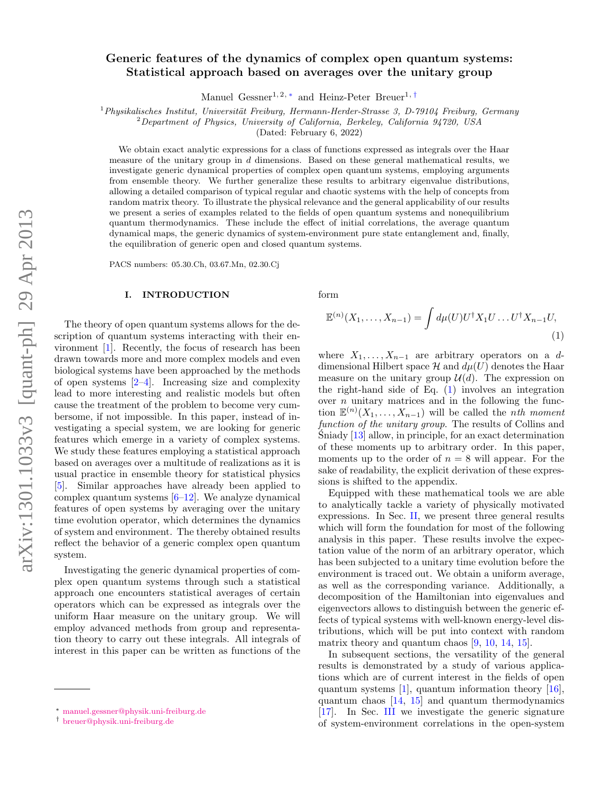# Generic features of the dynamics of complex open quantum systems: Statistical approach based on averages over the unitary group

Manuel Gessner<sup>1, 2, \*</sup> and Heinz-Peter Breuer<sup>1, [†](#page-0-1)</sup>

 $1$ Physikalisches Institut, Universität Freiburg, Hermann-Herder-Strasse 3, D-79104 Freiburg, Germany

 ${}^{2}$ Department of Physics, University of California, Berkeley, California 94720, USA

(Dated: February 6, 2022)

We obtain exact analytic expressions for a class of functions expressed as integrals over the Haar measure of the unitary group in  $d$  dimensions. Based on these general mathematical results, we investigate generic dynamical properties of complex open quantum systems, employing arguments from ensemble theory. We further generalize these results to arbitrary eigenvalue distributions, allowing a detailed comparison of typical regular and chaotic systems with the help of concepts from random matrix theory. To illustrate the physical relevance and the general applicability of our results we present a series of examples related to the fields of open quantum systems and nonequilibrium quantum thermodynamics. These include the effect of initial correlations, the average quantum dynamical maps, the generic dynamics of system-environment pure state entanglement and, finally, the equilibration of generic open and closed quantum systems.

PACS numbers: 05.30.Ch, 03.67.Mn, 02.30.Cj

# I. INTRODUCTION

The theory of open quantum systems allows for the description of quantum systems interacting with their environment [\[1\]](#page-13-0). Recently, the focus of research has been drawn towards more and more complex models and even biological systems have been approached by the methods of open systems [\[2](#page-14-0)[–4\]](#page-14-1). Increasing size and complexity lead to more interesting and realistic models but often cause the treatment of the problem to become very cumbersome, if not impossible. In this paper, instead of investigating a special system, we are looking for generic features which emerge in a variety of complex systems. We study these features employing a statistical approach based on averages over a multitude of realizations as it is usual practice in ensemble theory for statistical physics [\[5\]](#page-14-2). Similar approaches have already been applied to complex quantum systems  $[6-12]$  $[6-12]$ . We analyze dynamical features of open systems by averaging over the unitary time evolution operator, which determines the dynamics of system and environment. The thereby obtained results reflect the behavior of a generic complex open quantum system.

Investigating the generic dynamical properties of complex open quantum systems through such a statistical approach one encounters statistical averages of certain operators which can be expressed as integrals over the uniform Haar measure on the unitary group. We will employ advanced methods from group and representation theory to carry out these integrals. All integrals of interest in this paper can be written as functions of the form

<span id="page-0-2"></span>
$$
\mathbb{E}^{(n)}(X_1,\ldots,X_{n-1}) = \int d\mu(U) U^{\dagger} X_1 U \ldots U^{\dagger} X_{n-1} U,
$$
\n(1)

where  $X_1, \ldots, X_{n-1}$  are arbitrary operators on a ddimensional Hilbert space  $\mathcal H$  and  $d\mu(U)$  denotes the Haar measure on the unitary group  $\mathcal{U}(d)$ . The expression on the right-hand side of Eq. [\(1\)](#page-0-2) involves an integration over  $n$  unitary matrices and in the following the function  $\mathbb{E}^{(n)}(X_1,\ldots,X_{n-1})$  will be called the *n*th moment function of the unitary group. The results of Collins and  $\hat{\text{Sniady}}$  [[13\]](#page-14-5) allow, in principle, for an exact determination of these moments up to arbitrary order. In this paper, moments up to the order of  $n = 8$  will appear. For the sake of readability, the explicit derivation of these expressions is shifted to the appendix.

Equipped with these mathematical tools we are able to analytically tackle a variety of physically motivated expressions. In Sec. [II,](#page-1-0) we present three general results which will form the foundation for most of the following analysis in this paper. These results involve the expectation value of the norm of an arbitrary operator, which has been subjected to a unitary time evolution before the environment is traced out. We obtain a uniform average, as well as the corresponding variance. Additionally, a decomposition of the Hamiltonian into eigenvalues and eigenvectors allows to distinguish between the generic effects of typical systems with well-known energy-level distributions, which will be put into context with random matrix theory and quantum chaos [\[9,](#page-14-6) [10,](#page-14-7) [14,](#page-14-8) [15\]](#page-14-9).

In subsequent sections, the versatility of the general results is demonstrated by a study of various applications which are of current interest in the fields of open quantum systems  $[1]$ , quantum information theory  $[16]$ , quantum chaos [\[14,](#page-14-8) [15\]](#page-14-9) and quantum thermodynamics [\[17\]](#page-14-11). In Sec. [III](#page-4-0) we investigate the generic signature of system-environment correlations in the open-system

<span id="page-0-0"></span><sup>∗</sup> [manuel.gessner@physik.uni-freiburg.de](mailto:manuel.gessner@physik.uni-freiburg.de)

<span id="page-0-1"></span><sup>†</sup> [breuer@physik.uni-freiburg.de](mailto:breuer@physik.uni-freiburg.de)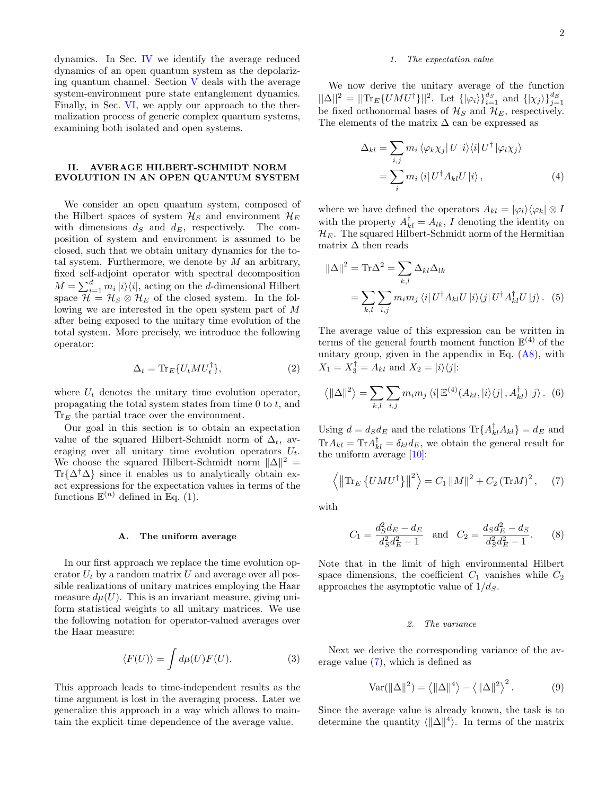dynamics. In Sec. [IV](#page-5-0) we identify the average reduced dynamics of an open quantum system as the depolarizing quantum channel. Section [V](#page-5-1) deals with the average system-environment pure state entanglement dynamics. Finally, in Sec. [VI,](#page-7-0) we apply our approach to the thermalization process of generic complex quantum systems, examining both isolated and open systems.

# <span id="page-1-0"></span>II. AVERAGE HILBERT-SCHMIDT NORM EVOLUTION IN AN OPEN QUANTUM SYSTEM

We consider an open quantum system, composed of the Hilbert spaces of system  $\mathcal{H}_S$  and environment  $\mathcal{H}_E$ with dimensions  $d_S$  and  $d_E$ , respectively. The composition of system and environment is assumed to be closed, such that we obtain unitary dynamics for the total system. Furthermore, we denote by  $M$  an arbitrary, fixed self-adjoint operator with spectral decomposition  $M = \sum_{i=1}^{d} m_i |i\rangle\langle i|$ , acting on the d-dimensional Hilbert space  $\mathcal{H} = \mathcal{H}_S \otimes \mathcal{H}_E$  of the closed system. In the following we are interested in the open system part of M after being exposed to the unitary time evolution of the total system. More precisely, we introduce the following operator:

$$
\Delta_t = \text{Tr}_E\{U_t M U_t^{\dagger}\},\tag{2}
$$

where  $U_t$  denotes the unitary time evolution operator, propagating the total system states from time  $0$  to  $t$ , and  $Tr_E$  the partial trace over the environment.

Our goal in this section is to obtain an expectation value of the squared Hilbert-Schmidt norm of  $\Delta_t$ , averaging over all unitary time evolution operators  $U_t$ . We choose the squared Hilbert-Schmidt norm  $\|\Delta\|^2$  =  $\text{Tr}\{\Delta^{\dagger}\Delta\}$  since it enables us to analytically obtain exact expressions for the expectation values in terms of the functions  $\mathbb{E}^{(n)}$  defined in Eq. [\(1\)](#page-0-2).

### <span id="page-1-4"></span>A. The uniform average

In our first approach we replace the time evolution operator  $U_t$  by a random matrix U and average over all possible realizations of unitary matrices employing the Haar measure  $d\mu(U)$ . This is an invariant measure, giving uniform statistical weights to all unitary matrices. We use the following notation for operator-valued averages over the Haar measure:

$$
\langle F(U) \rangle = \int d\mu(U) F(U). \tag{3}
$$

This approach leads to time-independent results as the time argument is lost in the averaging process. Later we generalize this approach in a way which allows to maintain the explicit time dependence of the average value.

# 1. The expectation value

We now derive the unitary average of the function  $||\Delta||^2 = ||\text{Tr}_E\{U M U^{\dagger}\}||^2$ . Let  $\{|\varphi_i\rangle\}_{i=1}^{d_S}$  and  $\{| \chi_j \rangle\}_{j=1}^{d_E}$ be fixed orthonormal bases of  $\mathcal{H}_S$  and  $\mathcal{H}_E$ , respectively. The elements of the matrix  $\Delta$  can be expressed as

<span id="page-1-2"></span>
$$
\Delta_{kl} = \sum_{i,j} m_i \langle \varphi_k \chi_j | U | i \rangle \langle i | U^{\dagger} | \varphi_l \chi_j \rangle
$$
  
= 
$$
\sum_i m_i \langle i | U^{\dagger} A_{kl} U | i \rangle , \qquad (4)
$$

where we have defined the operators  $A_{kl} = |\varphi_l\rangle\langle\varphi_k| \otimes I$ with the property  $A_{kl}^{\dagger} = A_{lk}, I$  denoting the identity on  $\mathcal{H}_E$ . The squared Hilbert-Schmidt norm of the Hermitian matrix  $\Delta$  then reads

$$
\|\Delta\|^2 = \text{Tr}\Delta^2 = \sum_{k,l} \Delta_{kl} \Delta_{lk}
$$

$$
= \sum_{k,l} \sum_{i,j} m_i m_j \langle i | U^\dagger A_{kl} U | i \rangle \langle j | U^\dagger A_{kl}^\dagger U | j \rangle. \tag{5}
$$

The average value of this expression can be written in terms of the general fourth moment function  $\mathbb{E}^{(4)}$  of the unitary group, given in the appendix in Eq. [\(A8\)](#page-11-0), with  $X_1 = X_3^{\dagger} = A_{kl}$  and  $X_2 = |i\rangle\langle j|$ :

$$
\langle \|\Delta\|^2 \rangle = \sum_{k,l} \sum_{i,j} m_i m_j \langle i | \mathbb{E}^{(4)}(A_{kl}, |i\rangle\langle j |, A_{kl}^\dagger) |j\rangle. \tag{6}
$$

Using  $d = d_S d_E$  and the relations  $\text{Tr}\{A_{kl}^{\dagger} A_{kl}\} = d_E$  and  $\text{Tr} A_{kl} = \text{Tr} A_{kl}^{\dagger} = \delta_{kl} d_E$ , we obtain the general result for the uniform average [\[10\]](#page-14-7):

$$
\langle \left\| \text{Tr}_E \left\{ U M U^{\dagger} \right\} \right\|^2 \rangle = C_1 \left\| M \right\|^2 + C_2 \left( \text{Tr} M \right)^2, \quad (7)
$$

with

$$
C_1 = \frac{d_S^2 d_E - d_E}{d_S^2 d_E^2 - 1} \quad \text{and} \quad C_2 = \frac{d_S d_E^2 - d_S}{d_S^2 d_E^2 - 1}.
$$
 (8)

Note that in the limit of high environmental Hilbert space dimensions, the coefficient  $C_1$  vanishes while  $C_2$ approaches the asymptotic value of  $1/d<sub>S</sub>$ .

# <span id="page-1-3"></span><span id="page-1-1"></span>2. The variance

Next we derive the corresponding variance of the average value [\(7\)](#page-1-1), which is defined as

$$
Var(||\Delta||^2) = \langle ||\Delta||^4 \rangle - \langle ||\Delta||^2 \rangle^2.
$$
 (9)

Since the average value is already known, the task is to determine the quantity  $\langle \Vert \Delta \Vert^4 \rangle$ . In terms of the matrix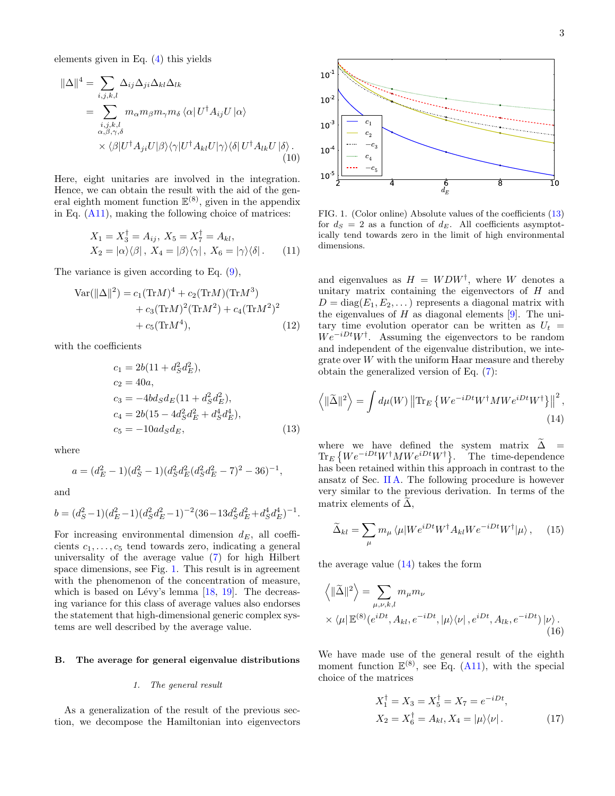elements given in Eq. [\(4\)](#page-1-2) this yields

$$
\|\Delta\|^4 = \sum_{i,j,k,l} \Delta_{ij} \Delta_{ji} \Delta_{kl} \Delta_{lk}
$$
  
= 
$$
\sum_{\substack{i,j,k,l \\ \alpha,\beta,\gamma,\delta}} m_{\alpha} m_{\beta} m_{\gamma} m_{\delta} \langle \alpha | U^{\dagger} A_{ij} U | \alpha \rangle
$$
  
 
$$
\times \langle \beta | U^{\dagger} A_{ji} U | \beta \rangle \langle \gamma | U^{\dagger} A_{kl} U | \gamma \rangle \langle \delta | U^{\dagger} A_{lk} U | \delta \rangle .
$$
 (10)

Here, eight unitaries are involved in the integration. Hence, we can obtain the result with the aid of the general eighth moment function  $\mathbb{E}^{(8)}$ , given in the appendix in Eq. [\(A11\)](#page-12-0), making the following choice of matrices:

$$
X_1 = X_3^{\dagger} = A_{ij}, X_5 = X_7^{\dagger} = A_{kl},
$$
  
\n
$$
X_2 = |\alpha\rangle\langle\beta|, X_4 = |\beta\rangle\langle\gamma|, X_6 = |\gamma\rangle\langle\delta|.
$$
 (11)

The variance is given according to Eq. [\(9\)](#page-1-3),

$$
Var(||\Delta||^2) = c_1 (TrM)^4 + c_2 (TrM)(TrM^3) + c_3 (TrM)^2 (TrM^2) + c_4 (TrM^2)^2 + c_5 (TrM^4),
$$
(12)

with the coefficients

$$
c_1 = 2b(11 + d_S^2 d_E^2),
$$
  
\n
$$
c_2 = 40a,
$$
  
\n
$$
c_3 = -4bd_Sd_E(11 + d_S^2 d_E^2),
$$
  
\n
$$
c_4 = 2b(15 - 4d_S^2 d_E^2 + d_S^4 d_E^4),
$$
  
\n
$$
c_5 = -10ad_Sd_E,
$$
\n(13)

where

$$
a = (d_E^2 - 1)(d_S^2 - 1)(d_S^2 d_E^2 (d_S^2 d_E^2 - 7)^2 - 36)^{-1},
$$

and

$$
b = (d_S^2 - 1)(d_E^2 - 1)(d_S^2 d_E^2 - 1)^{-2} (36 - 13d_S^2 d_E^2 + d_S^4 d_E^4)^{-1}.
$$

For increasing environmental dimension  $d_E$ , all coefficients  $c_1, \ldots, c_5$  tend towards zero, indicating a general universality of the average value [\(7\)](#page-1-1) for high Hilbert space dimensions, see Fig. [1.](#page-2-0) This result is in agreement with the phenomenon of the concentration of measure, which is based on Lévy's lemma  $[18, 19]$  $[18, 19]$  $[18, 19]$ . The decreasing variance for this class of average values also endorses the statement that high-dimensional generic complex systems are well described by the average value.

#### B. The average for general eigenvalue distributions

#### 1. The general result

As a generalization of the result of the previous section, we decompose the Hamiltonian into eigenvectors



<span id="page-2-0"></span>FIG. 1. (Color online) Absolute values of the coefficients [\(13\)](#page-2-1) for  $d_S = 2$  as a function of  $d_E$ . All coefficients asymptotically tend towards zero in the limit of high environmental dimensions.

<span id="page-2-3"></span>and eigenvalues as  $H = W D W^{\dagger}$ , where W denotes a unitary matrix containing the eigenvectors of  $H$  and  $D = diag(E_1, E_2, \dots)$  represents a diagonal matrix with the eigenvalues of  $H$  as diagonal elements [\[9\]](#page-14-6). The unitary time evolution operator can be written as  $U_t =$  $We^{-iDt}W^{\dagger}$ . Assuming the eigenvectors to be random and independent of the eigenvalue distribution, we integrate over W with the uniform Haar measure and thereby obtain the generalized version of Eq. [\(7\)](#page-1-1):

<span id="page-2-2"></span>
$$
\left\langle \|\widetilde{\Delta}\|^2 \right\rangle = \int d\mu(W) \left\| \text{Tr}_E \left\{ W e^{-iDt} W^{\dagger} M W e^{iDt} W^{\dagger} \right\} \right\|^2, \tag{14}
$$

<span id="page-2-1"></span>where we have defined the system matrix  $\tilde{\Delta}$  =  $\text{Tr}_{E}\left\{We^{-iDt}W^{\dagger}MWe^{iDt}W^{\dagger}\right\}$ . The time-dependence has been retained within this approach in contrast to the ansatz of Sec. [II A.](#page-1-4) The following procedure is however very similar to the previous derivation. In terms of the matrix elements of  $\Delta$ ,

$$
\widetilde{\Delta}_{kl} = \sum_{\mu} m_{\mu} \langle \mu | W e^{iDt} W^{\dagger} A_{kl} W e^{-iDt} W^{\dagger} | \mu \rangle, \quad (15)
$$

the average value  $(14)$  takes the form

$$
\langle \|\tilde{\Delta}\|^2 \rangle = \sum_{\mu,\nu,k,l} m_{\mu} m_{\nu}
$$
  
 
$$
\times \langle \mu | \mathbb{E}^{(8)}(e^{iDt}, A_{kl}, e^{-iDt}, |\mu \rangle \langle \nu |, e^{iDt}, A_{lk}, e^{-iDt}) | \nu \rangle.
$$
  
(16)

We have made use of the general result of the eighth moment function  $\mathbb{E}^{(8)}$ , see Eq. [\(A11\)](#page-12-0), with the special choice of the matrices

$$
X_1^{\dagger} = X_3 = X_5^{\dagger} = X_7 = e^{-iDt},
$$
  
\n
$$
X_2 = X_6^{\dagger} = A_{kl}, X_4 = |\mu\rangle\langle\nu|.
$$
 (17)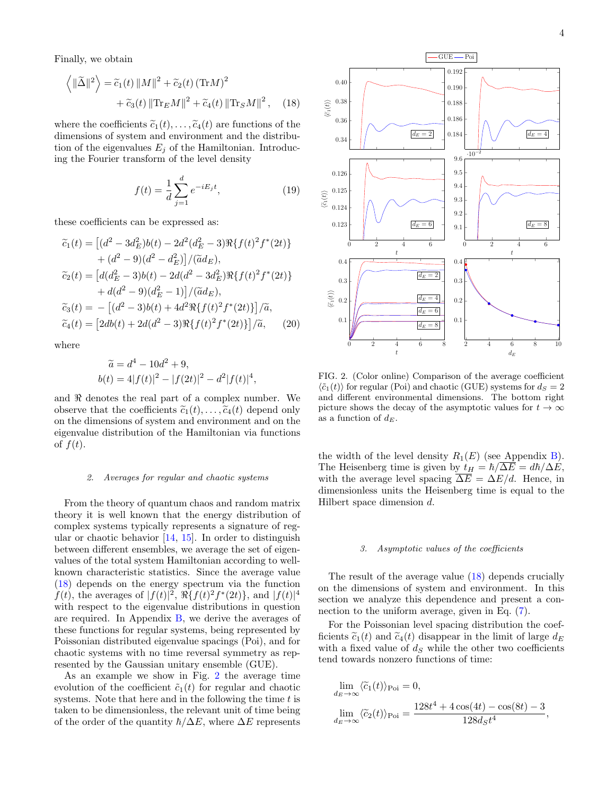Finally, we obtain

$$
\langle ||\widetilde{\Delta}||^2 \rangle = \widetilde{c}_1(t) ||M||^2 + \widetilde{c}_2(t) (\text{Tr}M)^2 + \widetilde{c}_3(t) ||\text{Tr}_E M||^2 + \widetilde{c}_4(t) ||\text{Tr}_S M||^2, \quad (18)
$$

where the coefficients  $\tilde{c}_1(t), \ldots, \tilde{c}_4(t)$  are functions of the dimensions of system and environment and the distribution of the eigenvalues  $E_j$  of the Hamiltonian. Introducing the Fourier transform of the level density

$$
f(t) = \frac{1}{d} \sum_{j=1}^{d} e^{-iE_j t},
$$
\n(19)

these coefficients can be expressed as:

$$
\begin{aligned}\n\tilde{c}_1(t) &= \left[ (d^2 - 3d_E^2)b(t) - 2d^2(d_E^2 - 3)\Re\{f(t)^2f^*(2t)\} \right. \\
&\quad + (d^2 - 9)(d^2 - d_E^2) \right] / (\tilde{a}d_E), \\
\tilde{c}_2(t) &= \left[ d(d_E^2 - 3)b(t) - 2d(d^2 - 3d_E^2)\Re\{f(t)^2f^*(2t)\} \right. \\
&\quad + d(d^2 - 9)(d_E^2 - 1) \right] / (\tilde{a}d_E), \\
\tilde{c}_3(t) &= - \left[ (d^2 - 3)b(t) + 4d^2\Re\{f(t)^2f^*(2t)\} \right] / \tilde{a}, \\
\tilde{c}_4(t) &= \left[ 2db(t) + 2d(d^2 - 3)\Re\{f(t)^2f^*(2t)\} \right] / \tilde{a},\n\end{aligned}
$$

where

$$
\widetilde{a} = d^4 - 10d^2 + 9,
$$
  
\n
$$
b(t) = 4|f(t)|^2 - |f(2t)|^2 - d^2|f(t)|^4,
$$

and  $\Re$  denotes the real part of a complex number. We observe that the coefficients  $\tilde{c}_1(t), \ldots, \tilde{c}_4(t)$  depend only on the dimensions of system and environment and on the eigenvalue distribution of the Hamiltonian via functions of  $f(t)$ .

### 2. Averages for regular and chaotic systems

From the theory of quantum chaos and random matrix theory it is well known that the energy distribution of complex systems typically represents a signature of regular or chaotic behavior  $[14, 15]$  $[14, 15]$  $[14, 15]$ . In order to distinguish between different ensembles, we average the set of eigenvalues of the total system Hamiltonian according to wellknown characteristic statistics. Since the average value [\(18\)](#page-3-0) depends on the energy spectrum via the function  $f(t)$ , the averages of  $|f(t)|^2$ ,  $\Re\{f(t)^2 f^*(2t)\}$ , and  $|f(t)|^4$ with respect to the eigenvalue distributions in question are required. In Appendix [B,](#page-12-1) we derive the averages of these functions for regular systems, being represented by Poissonian distributed eigenvalue spacings (Poi), and for chaotic systems with no time reversal symmetry as represented by the Gaussian unitary ensemble (GUE).

As an example we show in Fig. [2](#page-3-1) the average time evolution of the coefficient  $\tilde{c}_1(t)$  for regular and chaotic systems. Note that here and in the following the time  $t$  is taken to be dimensionless, the relevant unit of time being of the order of the quantity  $\hbar/\Delta E$ , where  $\Delta E$  represents

<span id="page-3-2"></span><span id="page-3-0"></span>

<span id="page-3-1"></span>FIG. 2. (Color online) Comparison of the average coefficient  $\langle \tilde{c}_1(t) \rangle$  for regular (Poi) and chaotic (GUE) systems for  $d_S = 2$ and different environmental dimensions. The bottom right picture shows the decay of the asymptotic values for  $t \to \infty$ as a function of  $d_E$ .

the width of the level density  $R_1(E)$  (see Appendix [B\)](#page-12-1). The Heisenberg time is given by  $t_H = \hbar/\overline{\Delta E} = d\hbar/\Delta E$ , with the average level spacing  $\Delta E = \Delta E/d$ . Hence, in dimensionless units the Heisenberg time is equal to the Hilbert space dimension d.

#### 3. Asymptotic values of the coefficients

The result of the average value [\(18\)](#page-3-0) depends crucially on the dimensions of system and environment. In this section we analyze this dependence and present a connection to the uniform average, given in Eq. [\(7\)](#page-1-1).

For the Poissonian level spacing distribution the coefficients  $\tilde{c}_1(t)$  and  $\tilde{c}_4(t)$  disappear in the limit of large  $d_E$ with a fixed value of  $d<sub>S</sub>$  while the other two coefficients tend towards nonzero functions of time:

$$
\lim_{d_E \to \infty} \langle \widetilde{c}_1(t) \rangle_{\text{Poi}} = 0,
$$
  

$$
\lim_{d_E \to \infty} \langle \widetilde{c}_2(t) \rangle_{\text{Poi}} = \frac{128t^4 + 4\cos(4t) - \cos(8t) - 3}{128d_St^4},
$$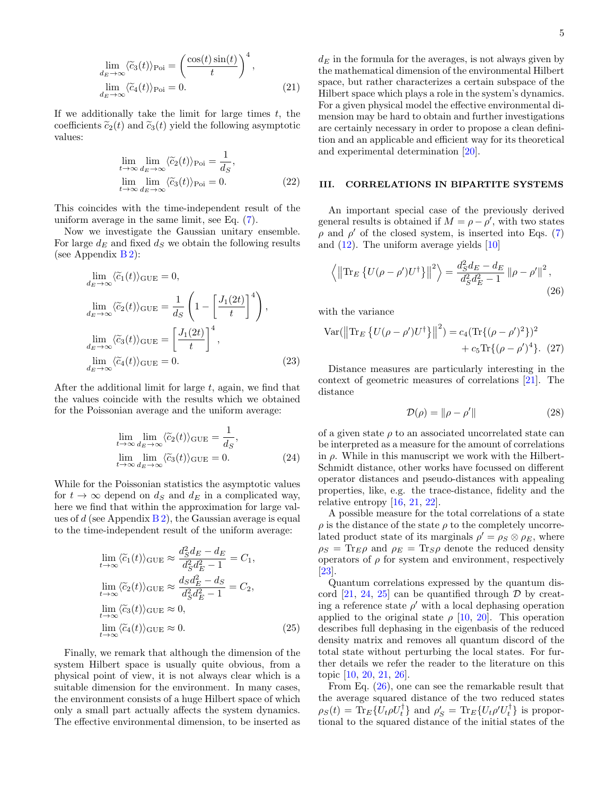$$
\lim_{d_E \to \infty} \langle \tilde{c}_3(t) \rangle_{\text{Poi}} = \left( \frac{\cos(t) \sin(t)}{t} \right)^4,
$$
  

$$
\lim_{d_E \to \infty} \langle \tilde{c}_4(t) \rangle_{\text{Poi}} = 0.
$$
 (21)

If we additionally take the limit for large times  $t$ , the coefficients  $\tilde{c}_2(t)$  and  $\tilde{c}_3(t)$  yield the following asymptotic values:

$$
\lim_{t \to \infty} \lim_{d_E \to \infty} \langle \tilde{c}_2(t) \rangle_{\text{Poi}} = \frac{1}{d_S},
$$
  
\n
$$
\lim_{t \to \infty} \lim_{d_E \to \infty} \langle \tilde{c}_3(t) \rangle_{\text{Poi}} = 0.
$$
\n(22)

This coincides with the time-independent result of the uniform average in the same limit, see Eq. [\(7\)](#page-1-1).

Now we investigate the Gaussian unitary ensemble. For large  $d_E$  and fixed  $d_S$  we obtain the following results (see Appendix  $B$ 2):

$$
\lim_{d_E \to \infty} \langle \tilde{c}_1(t) \rangle_{\text{GUE}} = 0,
$$
\n
$$
\lim_{d_E \to \infty} \langle \tilde{c}_2(t) \rangle_{\text{GUE}} = \frac{1}{d_S} \left( 1 - \left[ \frac{J_1(2t)}{t} \right]^4 \right),
$$
\n
$$
\lim_{d_E \to \infty} \langle \tilde{c}_3(t) \rangle_{\text{GUE}} = \left[ \frac{J_1(2t)}{t} \right]^4,
$$
\n
$$
\lim_{d_E \to \infty} \langle \tilde{c}_4(t) \rangle_{\text{GUE}} = 0.
$$
\n(23)

After the additional limit for large  $t$ , again, we find that the values coincide with the results which we obtained for the Poissonian average and the uniform average:

$$
\lim_{t \to \infty} \lim_{d_E \to \infty} \langle \tilde{c}_2(t) \rangle_{\text{GUE}} = \frac{1}{d_S},
$$
\n
$$
\lim_{t \to \infty} \lim_{d_E \to \infty} \langle \tilde{c}_3(t) \rangle_{\text{GUE}} = 0.
$$
\n(24)

While for the Poissonian statistics the asymptotic values for  $t \to \infty$  depend on  $d_S$  and  $d_E$  in a complicated way, here we find that within the approximation for large values of d (see Appendix  $B_2$ ), the Gaussian average is equal to the time-independent result of the uniform average:

$$
\lim_{t \to \infty} \langle \widetilde{c}_1(t) \rangle_{\text{GUE}} \approx \frac{d_S^2 d_E - d_E}{d_S^2 d_E^2 - 1} = C_1,
$$
\n
$$
\lim_{t \to \infty} \langle \widetilde{c}_2(t) \rangle_{\text{GUE}} \approx \frac{d_S d_E^2 - d_S}{d_S^2 d_E^2 - 1} = C_2,
$$
\n
$$
\lim_{t \to \infty} \langle \widetilde{c}_3(t) \rangle_{\text{GUE}} \approx 0,
$$
\n
$$
\lim_{t \to \infty} \langle \widetilde{c}_4(t) \rangle_{\text{GUE}} \approx 0.
$$
\n(25)

Finally, we remark that although the dimension of the system Hilbert space is usually quite obvious, from a physical point of view, it is not always clear which is a suitable dimension for the environment. In many cases, the environment consists of a huge Hilbert space of which only a small part actually affects the system dynamics. The effective environmental dimension, to be inserted as <span id="page-4-3"></span> $d_E$  in the formula for the averages, is not always given by the mathematical dimension of the environmental Hilbert space, but rather characterizes a certain subspace of the Hilbert space which plays a role in the system's dynamics. For a given physical model the effective environmental dimension may be hard to obtain and further investigations are certainly necessary in order to propose a clean definition and an applicable and efficient way for its theoretical and experimental determination [\[20\]](#page-14-14).

# <span id="page-4-0"></span>III. CORRELATIONS IN BIPARTITE SYSTEMS

An important special case of the previously derived general results is obtained if  $M = \rho - \rho'$ , with two states  $\rho$  and  $\rho'$  of the closed system, is inserted into Eqs. [\(7\)](#page-1-1) and  $(12)$ . The uniform average yields  $[10]$ 

$$
\left\langle \left\| \text{Tr}_E \left\{ U(\rho - \rho') U^{\dagger} \right\} \right\|^2 \right\rangle = \frac{d_S^2 d_E - d_E}{d_S^2 d_E^2 - 1} \left\| \rho - \rho' \right\|^2, \tag{26}
$$

with the variance

Var(
$$
\|\text{Tr}_E \{ U(\rho - \rho') U^{\dagger} \} \|^2
$$
) =  $c_4 (\text{Tr}\{ (\rho - \rho')^2 \})^2$   
+  $c_5 \text{Tr}\{ (\rho - \rho')^4 \}$ . (27)

<span id="page-4-4"></span>Distance measures are particularly interesting in the context of geometric measures of correlations [\[21\]](#page-14-15). The distance

<span id="page-4-2"></span><span id="page-4-1"></span>
$$
\mathcal{D}(\rho) = \|\rho - \rho'\| \tag{28}
$$

of a given state  $\rho$  to an associated uncorrelated state can be interpreted as a measure for the amount of correlations in  $\rho$ . While in this manuscript we work with the Hilbert-Schmidt distance, other works have focussed on different operator distances and pseudo-distances with appealing properties, like, e.g. the trace-distance, fidelity and the relative entropy [\[16,](#page-14-10) [21,](#page-14-15) [22\]](#page-14-16).

A possible measure for the total correlations of a state  $\rho$  is the distance of the state  $\rho$  to the completely uncorrelated product state of its marginals  $\rho' = \rho_S \otimes \rho_E$ , where  $\rho_S = \text{Tr}_{E}\rho$  and  $\rho_E = \text{Tr}_{S}\rho$  denote the reduced density operators of  $\rho$  for system and environment, respectively [\[23\]](#page-14-17).

Quantum correlations expressed by the quantum dis-cord [\[21,](#page-14-15) [24,](#page-14-18) [25\]](#page-14-19) can be quantified through  $D$  by creating a reference state  $\rho'$  with a local dephasing operation applied to the original state  $\rho$  [\[10,](#page-14-7) [20\]](#page-14-14). This operation describes full dephasing in the eigenbasis of the reduced density matrix and removes all quantum discord of the total state without perturbing the local states. For further details we refer the reader to the literature on this topic [\[10,](#page-14-7) [20,](#page-14-14) [21,](#page-14-15) [26\]](#page-14-20).

From Eq. [\(26\)](#page-4-1), one can see the remarkable result that the average squared distance of the two reduced states  $\rho_S(t) = \text{Tr}_E\{U_t \rho U_t^{\dagger}\}\$ and  $\rho_S' = \text{Tr}_E\{U_t \rho' U_t^{\dagger}\}\$ is proportional to the squared distance of the initial states of the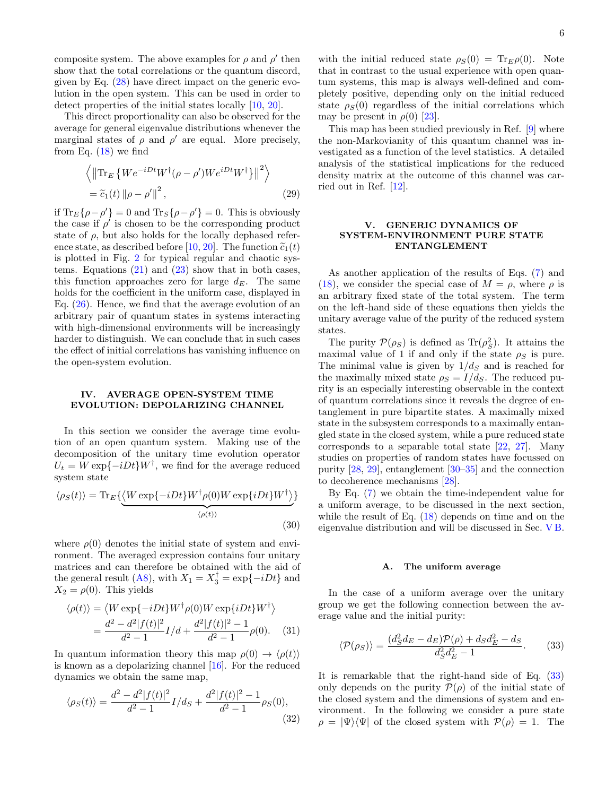composite system. The above examples for  $\rho$  and  $\rho'$  then show that the total correlations or the quantum discord, given by Eq. [\(28\)](#page-4-2) have direct impact on the generic evolution in the open system. This can be used in order to detect properties of the initial states locally [\[10,](#page-14-7) [20\]](#page-14-14).

This direct proportionality can also be observed for the average for general eigenvalue distributions whenever the marginal states of  $\rho$  and  $\rho'$  are equal. More precisely, from Eq.  $(18)$  we find

$$
\left\langle \left\| \text{Tr}_{E} \left\{ W e^{-iDt} W^{\dagger} (\rho - \rho') W e^{iDt} W^{\dagger} \right\} \right\|^{2} \right\rangle
$$
  
=  $\tilde{c}_{1}(t) \left\| \rho - \rho' \right\|^{2},$  (29)

if  $\text{Tr}_E\{\rho - \rho'\} = 0$  and  $\text{Tr}_S\{\rho - \rho'\} = 0$ . This is obviously the case if  $\rho'$  is chosen to be the corresponding product state of  $\rho$ , but also holds for the locally dephased refer-ence state, as described before [\[10,](#page-14-7) [20\]](#page-14-14). The function  $\tilde{c}_1(t)$ is plotted in Fig. [2](#page-3-1) for typical regular and chaotic systems. Equations  $(21)$  and  $(23)$  show that in both cases, this function approaches zero for large  $d_E$ . The same holds for the coefficient in the uniform case, displayed in Eq. [\(26\)](#page-4-1). Hence, we find that the average evolution of an arbitrary pair of quantum states in systems interacting with high-dimensional environments will be increasingly harder to distinguish. We can conclude that in such cases the effect of initial correlations has vanishing influence on the open-system evolution.

# <span id="page-5-0"></span>IV. AVERAGE OPEN-SYSTEM TIME EVOLUTION: DEPOLARIZING CHANNEL

In this section we consider the average time evolution of an open quantum system. Making use of the decomposition of the unitary time evolution operator  $U_t = W \exp{-iDt}W^{\dagger}$ , we find for the average reduced system state

$$
\langle \rho_S(t) \rangle = \text{Tr}_E \{ \underbrace{\langle W \exp\{-iDt\} W^\dagger \rho(0) W \exp\{iDt\} W^\dagger \rangle}_{\langle \rho(t) \rangle} \} \tag{30}
$$

where  $\rho(0)$  denotes the initial state of system and environment. The averaged expression contains four unitary matrices and can therefore be obtained with the aid of the general result [\(A8\)](#page-11-0), with  $X_1 = X_3^{\dagger} = \exp\{-iDt\}$  and  $X_2 = \rho(0)$ . This yields

$$
\langle \rho(t) \rangle = \langle W \exp\{-iDt\} W^{\dagger} \rho(0) W \exp\{iDt\} W^{\dagger} \rangle
$$
  
= 
$$
\frac{d^2 - d^2 |f(t)|^2}{d^2 - 1} I/d + \frac{d^2 |f(t)|^2 - 1}{d^2 - 1} \rho(0).
$$
 (31)

In quantum information theory this map  $\rho(0) \rightarrow \langle \rho(t) \rangle$ is known as a depolarizing channel [\[16\]](#page-14-10). For the reduced dynamics we obtain the same map,

$$
\langle \rho_S(t) \rangle = \frac{d^2 - d^2 |f(t)|^2}{d^2 - 1} I/d_S + \frac{d^2 |f(t)|^2 - 1}{d^2 - 1} \rho_S(0),\tag{32}
$$

with the initial reduced state  $\rho_S(0) = \text{Tr}_E \rho(0)$ . Note that in contrast to the usual experience with open quantum systems, this map is always well-defined and completely positive, depending only on the initial reduced state  $\rho_S(0)$  regardless of the initial correlations which may be present in  $\rho(0)$  [\[23\]](#page-14-17).

This map has been studied previously in Ref. [\[9\]](#page-14-6) where the non-Markovianity of this quantum channel was investigated as a function of the level statistics. A detailed analysis of the statistical implications for the reduced density matrix at the outcome of this channel was carried out in Ref. [\[12\]](#page-14-4).

# <span id="page-5-1"></span>V. GENERIC DYNAMICS OF SYSTEM-ENVIRONMENT PURE STATE ENTANGLEMENT

As another application of the results of Eqs. [\(7\)](#page-1-1) and [\(18\)](#page-3-0), we consider the special case of  $M = \rho$ , where  $\rho$  is an arbitrary fixed state of the total system. The term on the left-hand side of these equations then yields the unitary average value of the purity of the reduced system states.

The purity  $\mathcal{P}(\rho_S)$  is defined as  $\text{Tr}(\rho_S^2)$ . It attains the maximal value of 1 if and only if the state  $\rho_S$  is pure. The minimal value is given by  $1/d<sub>S</sub>$  and is reached for the maximally mixed state  $\rho_S = I/d_S$ . The reduced purity is an especially interesting observable in the context of quantum correlations since it reveals the degree of entanglement in pure bipartite states. A maximally mixed state in the subsystem corresponds to a maximally entangled state in the closed system, while a pure reduced state corresponds to a separable total state [\[22,](#page-14-16) [27\]](#page-14-21). Many studies on properties of random states have focussed on purity [\[28,](#page-14-22) [29\]](#page-14-23), entanglement [\[30](#page-14-24)[–35\]](#page-14-25) and the connection to decoherence mechanisms [\[28\]](#page-14-22).

By Eq. [\(7\)](#page-1-1) we obtain the time-independent value for a uniform average, to be discussed in the next section, while the result of Eq. [\(18\)](#page-3-0) depends on time and on the eigenvalue distribution and will be discussed in Sec. [V B.](#page-6-0)

### <span id="page-5-2"></span>A. The uniform average

In the case of a uniform average over the unitary group we get the following connection between the average value and the initial purity:

$$
\langle \mathcal{P}(\rho_S) \rangle = \frac{(d_S^2 d_E - d_E) \mathcal{P}(\rho) + d_S d_E^2 - d_S}{d_S^2 d_E^2 - 1}.
$$
 (33)

It is remarkable that the right-hand side of Eq. [\(33\)](#page-5-2) only depends on the purity  $\mathcal{P}(\rho)$  of the initial state of the closed system and the dimensions of system and environment. In the following we consider a pure state  $\rho = |\Psi\rangle\langle\Psi|$  of the closed system with  $P(\rho) = 1$ . The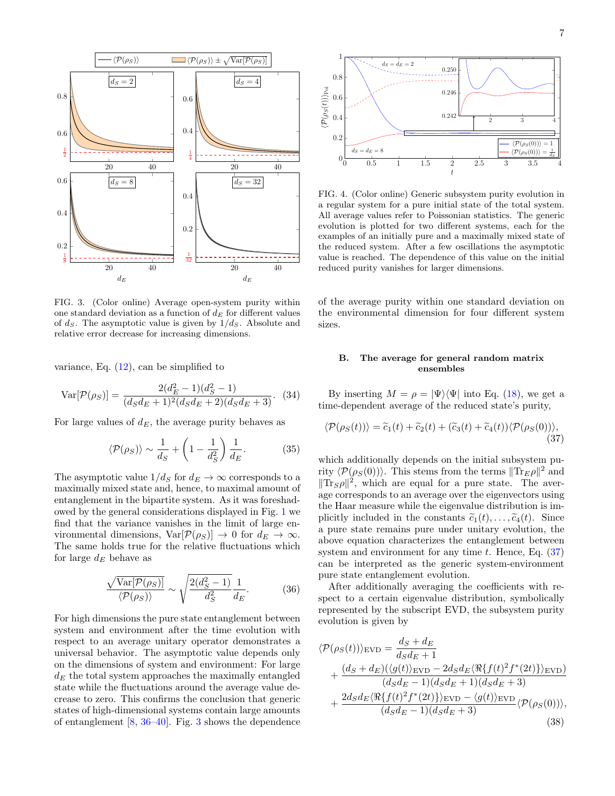

<span id="page-6-1"></span>FIG. 3. (Color online) Average open-system purity within one standard deviation as a function of  $d_E$  for different values of  $d_S$ . The asymptotic value is given by  $1/d_S$ . Absolute and relative error decrease for increasing dimensions.

variance, Eq.  $(12)$ , can be simplified to

$$
\text{Var}[\mathcal{P}(\rho_S)] = \frac{2(d_E^2 - 1)(d_S^2 - 1)}{(d_S d_E + 1)^2 (d_S d_E + 2)(d_S d_E + 3)}.
$$
 (34)

For large values of  $d_E$ , the average purity behaves as

$$
\langle \mathcal{P}(\rho_S) \rangle \sim \frac{1}{d_S} + \left(1 - \frac{1}{d_S^2}\right) \frac{1}{d_E}.
$$
 (35)

The asymptotic value  $1/d_S$  for  $d_E \to \infty$  corresponds to a maximally mixed state and, hence, to maximal amount of entanglement in the bipartite system. As it was foreshadowed by the general considerations displayed in Fig. [1](#page-2-0) we find that the variance vanishes in the limit of large environmental dimensions,  $Var[\mathcal{P}(\rho_S)] \to 0$  for  $d_E \to \infty$ . The same holds true for the relative fluctuations which for large  $d_E$  behave as

$$
\frac{\sqrt{\text{Var}[\mathcal{P}(\rho_S)]}}{\langle \mathcal{P}(\rho_S) \rangle} \sim \sqrt{\frac{2(d_S^2 - 1)}{d_S^2}} \frac{1}{d_E}.
$$
 (36)

For high dimensions the pure state entanglement between system and environment after the time evolution with respect to an average unitary operator demonstrates a universal behavior. The asymptotic value depends only on the dimensions of system and environment: For large  $d_E$  the total system approaches the maximally entangled state while the fluctuations around the average value decrease to zero. This confirms the conclusion that generic states of high-dimensional systems contain large amounts of entanglement [\[8,](#page-14-26) [36](#page-14-27)[–40\]](#page-14-28). Fig. [3](#page-6-1) shows the dependence



<span id="page-6-4"></span>FIG. 4. (Color online) Generic subsystem purity evolution in a regular system for a pure initial state of the total system. All average values refer to Poissonian statistics. The generic evolution is plotted for two different systems, each for the examples of an initially pure and a maximally mixed state of the reduced system. After a few oscillations the asymptotic value is reached. The dependence of this value on the initial reduced purity vanishes for larger dimensions.

of the average purity within one standard deviation on the environmental dimension for four different system sizes.

# <span id="page-6-2"></span><span id="page-6-0"></span>B. The average for general random matrix ensembles

By inserting  $M = \rho = |\Psi\rangle\langle\Psi|$  into Eq. [\(18\)](#page-3-0), we get a time-dependent average of the reduced state's purity,

$$
\langle \mathcal{P}(\rho_S(t)) \rangle = \tilde{c}_1(t) + \tilde{c}_2(t) + (\tilde{c}_3(t) + \tilde{c}_4(t)) \langle \mathcal{P}(\rho_S(0)) \rangle, \tag{37}
$$

which additionally depends on the initial subsystem purity  $\langle \mathcal{P}(\rho_S(0)) \rangle$ . This stems from the terms  $|| \text{Tr}_E \rho ||^2$  and  $\|\text{Tr}_S \rho\|^2$ , which are equal for a pure state. The average corresponds to an average over the eigenvectors using the Haar measure while the eigenvalue distribution is implicitly included in the constants  $\tilde{c}_1(t), \ldots, \tilde{c}_4(t)$ . Since a pure state remains pure under unitary evolution, the above equation characterizes the entanglement between system and environment for any time  $t$ . Hence, Eq.  $(37)$ can be interpreted as the generic system-environment pure state entanglement evolution.

After additionally averaging the coefficients with respect to a certain eigenvalue distribution, symbolically represented by the subscript EVD, the subsystem purity evolution is given by

<span id="page-6-3"></span>
$$
\langle \mathcal{P}(\rho_S(t)) \rangle_{\text{EVD}} = \frac{d_S + d_E}{d_S d_E + 1} + \frac{(d_S + d_E)(\langle g(t) \rangle_{\text{EVD}} - 2d_S d_E \langle \Re\{f(t)^2 f^*(2t)\} \rangle_{\text{EVD}})}{(d_S d_E - 1)(d_S d_E + 1)(d_S d_E + 3)} + \frac{2d_S d_E \langle \Re\{f(t)^2 f^*(2t)\} \rangle_{\text{EVD}} - \langle g(t) \rangle_{\text{EVD}}}{(d_S d_E - 1)(d_S d_E + 3)} \langle \mathcal{P}(\rho_S(0)) \rangle, \tag{38}
$$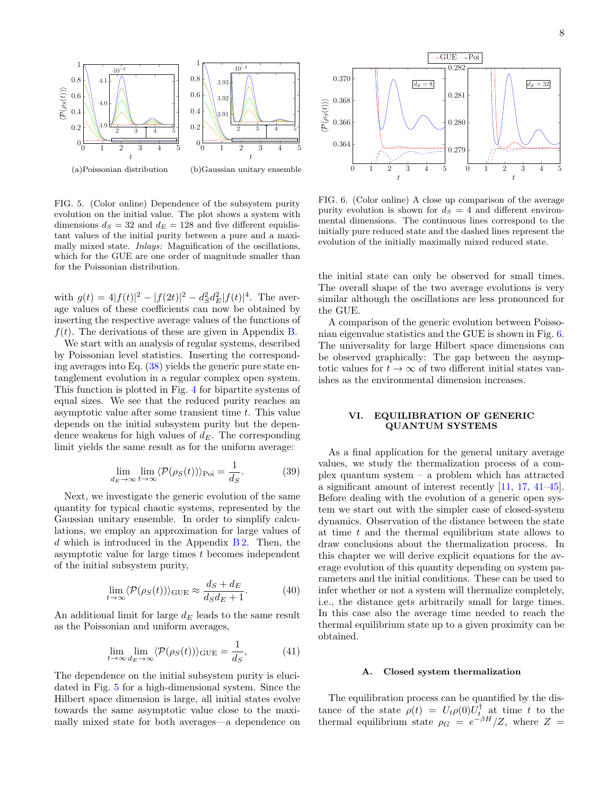

<span id="page-7-1"></span>FIG. 5. (Color online) Dependence of the subsystem purity evolution on the initial value. The plot shows a system with dimensions  $d_S = 32$  and  $d_E = 128$  and five different equidistant values of the initial purity between a pure and a maximally mixed state. *Inlays:* Magnification of the oscillations, which for the GUE are one order of magnitude smaller than for the Poissonian distribution.

with  $g(t) = 4|f(t)|^2 - |f(2t)|^2 - d_S^2 d_E^2 |f(t)|^4$ . The average values of these coefficients can now be obtained by inserting the respective average values of the functions of  $f(t)$ . The derivations of these are given in Appendix [B.](#page-12-1)

We start with an analysis of regular systems, described by Poissonian level statistics. Inserting the corresponding averages into Eq.  $(38)$  yields the generic pure state entanglement evolution in a regular complex open system. This function is plotted in Fig. [4](#page-6-4) for bipartite systems of equal sizes. We see that the reduced purity reaches an asymptotic value after some transient time  $t$ . This value depends on the initial subsystem purity but the dependence weakens for high values of  $d_E$ . The corresponding limit yields the same result as for the uniform average:

$$
\lim_{d_E \to \infty} \lim_{t \to \infty} \langle \mathcal{P}(\rho_S(t)) \rangle_{\text{Poi}} = \frac{1}{d_S}.
$$
 (39)

Next, we investigate the generic evolution of the same quantity for typical chaotic systems, represented by the Gaussian unitary ensemble. In order to simplify calculations, we employ an approximation for large values of d which is introduced in the Appendix  $B2$ . Then, the asymptotic value for large times t becomes independent of the initial subsystem purity,

$$
\lim_{t \to \infty} \langle \mathcal{P}(\rho_S(t)) \rangle_{\text{GUE}} \approx \frac{d_S + d_E}{d_S d_E + 1}.
$$
 (40)

An additional limit for large  $d_E$  leads to the same result as the Poissonian and uniform averages,

$$
\lim_{t \to \infty} \lim_{d_E \to \infty} \langle \mathcal{P}(\rho_S(t)) \rangle_{\text{GUE}} = \frac{1}{d_S},\tag{41}
$$

The dependence on the initial subsystem purity is elucidated in Fig. [5](#page-7-1) for a high-dimensional system. Since the Hilbert space dimension is large, all initial states evolve towards the same asymptotic value close to the maximally mixed state for both averages—a dependence on



<span id="page-7-2"></span>FIG. 6. (Color online) A close up comparison of the average purity evolution is shown for  $d<sub>S</sub> = 4$  and different environmental dimensions. The continuous lines correspond to the initially pure reduced state and the dashed lines represent the evolution of the initially maximally mixed reduced state.

the initial state can only be observed for small times. The overall shape of the two average evolutions is very similar although the oscillations are less pronounced for the GUE.

A comparison of the generic evolution between Poissonian eigenvalue statistics and the GUE is shown in Fig. [6.](#page-7-2) The universality for large Hilbert space dimensions can be observed graphically: The gap between the asymptotic values for  $t \to \infty$  of two different initial states vanishes as the environmental dimension increases.

# <span id="page-7-0"></span>VI. EQUILIBRATION OF GENERIC QUANTUM SYSTEMS

As a final application for the general unitary average values, we study the thermalization process of a complex quantum system – a problem which has attracted a significant amount of interest recently [\[11,](#page-14-29) [17,](#page-14-11) [41–](#page-14-30)[45\]](#page-14-31). Before dealing with the evolution of a generic open system we start out with the simpler case of closed-system dynamics. Observation of the distance between the state at time t and the thermal equilibrium state allows to draw conclusions about the thermalization process. In this chapter we will derive explicit equations for the average evolution of this quantity depending on system parameters and the initial conditions. These can be used to infer whether or not a system will thermalize completely, i.e., the distance gets arbitrarily small for large times. In this case also the average time needed to reach the thermal equilibrium state up to a given proximity can be obtained.

### A. Closed system thermalization

The equilibration process can be quantified by the distance of the state  $\rho(t) = U_t \rho(0) U_t^{\dagger}$  at time t to the thermal equilibrium state  $\rho_G = e^{-\beta H}/Z$ , where  $Z =$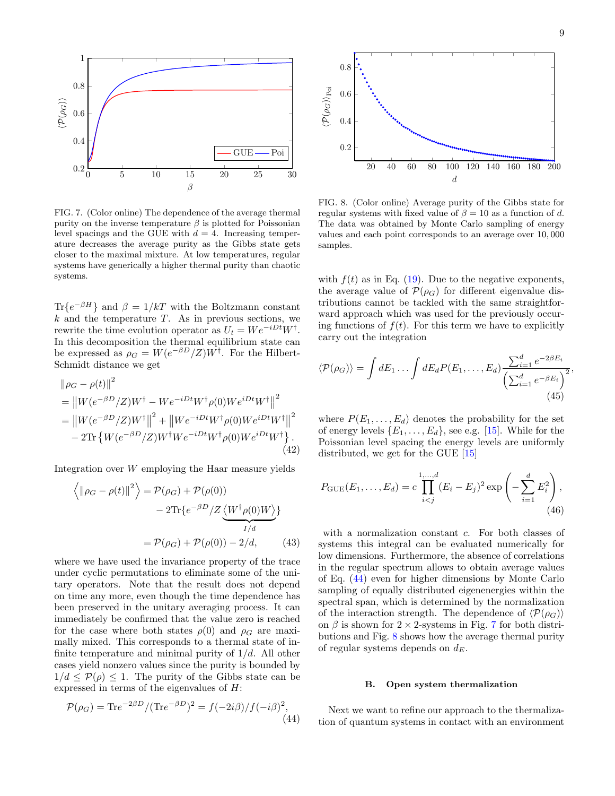

<span id="page-8-1"></span>FIG. 7. (Color online) The dependence of the average thermal purity on the inverse temperature  $\beta$  is plotted for Poissonian level spacings and the GUE with  $d = 4$ . Increasing temperature decreases the average purity as the Gibbs state gets closer to the maximal mixture. At low temperatures, regular systems have generically a higher thermal purity than chaotic systems.

 $\text{Tr}\{e^{-\beta H}\}\$  and  $\beta = 1/kT$  with the Boltzmann constant  $k$  and the temperature T. As in previous sections, we rewrite the time evolution operator as  $U_t = We^{-iDt}W^{\dagger}$ . In this decomposition the thermal equilibrium state can be expressed as  $\rho_G = W(e^{-\beta D}/Z)W^{\dagger}$ . For the Hilbert-Schmidt distance we get

$$
\|\rho_G - \rho(t)\|^2
$$
  
=  $||W(e^{-\beta D}/Z)W^{\dagger} - We^{-iDt}W^{\dagger}\rho(0)We^{iDt}W^{\dagger}||^2$   
=  $||W(e^{-\beta D}/Z)W^{\dagger}||^2 + ||We^{-iDt}W^{\dagger}\rho(0)We^{iDt}W^{\dagger}||^2$   
-  $2\text{Tr}\{W(e^{-\beta D}/Z)W^{\dagger}We^{-iDt}W^{\dagger}\rho(0)We^{iDt}W^{\dagger}\}.$  (42)

Integration over W employing the Haar measure yields

$$
\left\langle \|\rho_G - \rho(t)\|^2 \right\rangle = \mathcal{P}(\rho_G) + \mathcal{P}(\rho(0))
$$

$$
- 2\text{Tr}\{e^{-\beta D}/Z \underbrace{\langle W^\dagger \rho(0)W \rangle}_{I/d}\}
$$

$$
= \mathcal{P}(\rho_G) + \mathcal{P}(\rho(0)) - 2/d, \qquad (43)
$$

where we have used the invariance property of the trace under cyclic permutations to eliminate some of the unitary operators. Note that the result does not depend on time any more, even though the time dependence has been preserved in the unitary averaging process. It can immediately be confirmed that the value zero is reached for the case where both states  $\rho(0)$  and  $\rho<sub>G</sub>$  are maximally mixed. This corresponds to a thermal state of infinite temperature and minimal purity of  $1/d$ . All other cases yield nonzero values since the purity is bounded by  $1/d \leq \mathcal{P}(\rho) \leq 1$ . The purity of the Gibbs state can be expressed in terms of the eigenvalues of H:

$$
\mathcal{P}(\rho_G) = \text{Tr}e^{-2\beta D} / (\text{Tr}e^{-\beta D})^2 = f(-2i\beta) / f(-i\beta)^2,
$$
\n(44)



<span id="page-8-2"></span>FIG. 8. (Color online) Average purity of the Gibbs state for regular systems with fixed value of  $\beta = 10$  as a function of d. The data was obtained by Monte Carlo sampling of energy values and each point corresponds to an average over 10, 000 samples.

with  $f(t)$  as in Eq. [\(19\)](#page-3-2). Due to the negative exponents, the average value of  $\mathcal{P}(\rho_G)$  for different eigenvalue distributions cannot be tackled with the same straightforward approach which was used for the previously occuring functions of  $f(t)$ . For this term we have to explicitly carry out the integration

$$
\langle \mathcal{P}(\rho_G) \rangle = \int dE_1 \dots \int dE_d P(E_1, \dots, E_d) \frac{\sum_{i=1}^d e^{-2\beta E_i}}{\left(\sum_{i=1}^d e^{-\beta E_i}\right)^2},\tag{45}
$$

where  $P(E_1, \ldots, E_d)$  denotes the probability for the set of energy levels  $\{E_1, \ldots, E_d\}$ , see e.g. [\[15\]](#page-14-9). While for the Poissonian level spacing the energy levels are uniformly distributed, we get for the GUE  $[15]$ 

$$
P_{\text{GUE}}(E_1, ..., E_d) = c \prod_{i < j}^{1, ..., d} (E_i - E_j)^2 \exp\left(-\sum_{i=1}^d E_i^2\right),\tag{46}
$$

with a normalization constant c. For both classes of systems this integral can be evaluated numerically for low dimensions. Furthermore, the absence of correlations in the regular spectrum allows to obtain average values of Eq. [\(44\)](#page-8-0) even for higher dimensions by Monte Carlo sampling of equally distributed eigenenergies within the spectral span, which is determined by the normalization of the interaction strength. The dependence of  $\langle \mathcal{P}(\rho_G) \rangle$ on  $\beta$  is shown for 2 × 2-systems in Fig. [7](#page-8-1) for both distributions and Fig. [8](#page-8-2) shows how the average thermal purity of regular systems depends on  $d_E$ .

### B. Open system thermalization

<span id="page-8-0"></span>Next we want to refine our approach to the thermalization of quantum systems in contact with an environment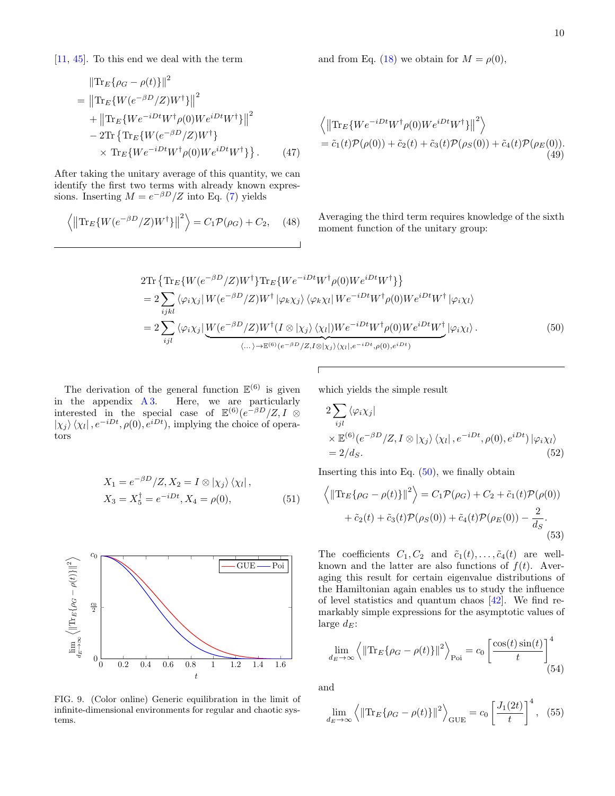and from Eq. [\(18\)](#page-3-0) we obtain for  $M = \rho(0)$ ,

$$
\|\text{Tr}_{E}\{\rho_{G} - \rho(t)\}\|^{2}
$$
\n
$$
= \|\text{Tr}_{E}\{W(e^{-\beta D}/Z)W^{\dagger}\}\|^{2}
$$
\n
$$
+ \|\text{Tr}_{E}\{We^{-iDt}W^{\dagger}\rho(0)We^{iDt}W^{\dagger}\}\|^{2}
$$
\n
$$
- 2\text{Tr}\{\text{Tr}_{E}\{W(e^{-\beta D}/Z)W^{\dagger}\}\}\times \text{Tr}_{E}\{We^{-iDt}W^{\dagger}\rho(0)We^{iDt}W^{\dagger}\}\}.
$$
\n(47)

After taking the unitary average of this quantity, we can identify the first two terms with already known expressions. Inserting  $M = e^{-\beta D}/Z$  into Eq. [\(7\)](#page-1-1) yields

$$
\left\langle \left\| \text{Tr}_{E} \{ W(e^{-\beta D}/Z) W^{\dagger} \} \right\|^{2} \right\rangle = C_{1} \mathcal{P}(\rho_{G}) + C_{2}, \quad (48)
$$

$$
\langle \left\| \text{Tr}_{E} \{ W e^{-iDt} W^{\dagger} \rho(0) W e^{iDt} W^{\dagger} \} \right\|^{2} \rangle
$$
  
=  $\tilde{c}_{1}(t) \mathcal{P}(\rho(0)) + \tilde{c}_{2}(t) + \tilde{c}_{3}(t) \mathcal{P}(\rho_{S}(0)) + \tilde{c}_{4}(t) \mathcal{P}(\rho_{E}(0)).$  (49)

Averaging the third term requires knowledge of the sixth moment function of the unitary group:

$$
2\text{Tr}\left\{\text{Tr}_{E}\{W(e^{-\beta D}/Z)W^{\dagger}\}\text{Tr}_{E}\{We^{-iDt}W^{\dagger}\rho(0)We^{iDt}W^{\dagger}\}\right\}
$$
\n
$$
=2\sum_{ijkl}\langle\varphi_{i}\chi_{j}|W(e^{-\beta D}/Z)W^{\dagger}|\varphi_{k}\chi_{j}\rangle\langle\varphi_{k}\chi_{l}|We^{-iDt}W^{\dagger}\rho(0)We^{iDt}W^{\dagger}|\varphi_{i}\chi_{l}\rangle
$$
\n
$$
=2\sum_{ijl}\langle\varphi_{i}\chi_{j}|\underbrace{W(e^{-\beta D}/Z)W^{\dagger}(I\otimes|\chi_{j}\rangle\langle\chi_{l}|)We^{-iDt}W^{\dagger}\rho(0)We^{iDt}W^{\dagger}|\varphi_{i}\chi_{l}\rangle}_{\langle\ldots\rangle\to\mathbb{E}^{(6)}(e^{-\beta D}/Z,I\otimes|\chi_{j}\rangle\langle\chi_{l}|,e^{-iDt},\rho(0),e^{iDt})}
$$
\n
$$
(50)
$$

The derivation of the general function  $\mathbb{E}^{(6)}$  is given in the appendix [A 3.](#page-11-1) Here, we are particularly interested in the special case of  $\mathbb{E}^{(6)}(e^{-\beta D}/Z, I \otimes$  $|\chi_j\rangle\langle\chi_l|, e^{-iDt}, \rho(0), e^{iDt}$ , implying the choice of operators

$$
X_1 = e^{-\beta D}/Z, X_2 = I \otimes |\chi_j\rangle \langle \chi_l|,
$$
  
\n
$$
X_3 = X_5^{\dagger} = e^{-iDt}, X_4 = \rho(0),
$$
\n(51)

$$
\begin{array}{c}\n\begin{array}{c}\n\frac{1}{2} \\
\frac{1}{2} \\
\frac{1}{2} \\
\frac{1}{2} \\
\frac{1}{2} \\
\frac{1}{2} \\
\frac{1}{2} \\
\frac{1}{2} \\
\frac{1}{2} \\
\frac{1}{2} \\
\frac{1}{2} \\
0\n\end{array}\n\end{array}
$$

<span id="page-9-1"></span>FIG. 9. (Color online) Generic equilibration in the limit of infinite-dimensional environments for regular and chaotic systems.

which yields the simple result

<span id="page-9-0"></span>
$$
2\sum_{ijl} \langle \varphi_i \chi_j |
$$
  
 
$$
\times \mathbb{E}^{(6)}(e^{-\beta D}/Z, I \otimes |\chi_j\rangle \langle \chi_l|, e^{-iDt}, \rho(0), e^{iDt}) |\varphi_i \chi_l\rangle
$$
  
= 2/d<sub>S</sub>. (52)

Inserting this into Eq.  $(50)$ , we finally obtain

$$
\left\langle \left\| \text{Tr}_{E} \{ \rho_{G} - \rho(t) \} \right\|^{2} \right\rangle = C_{1} \mathcal{P}(\rho_{G}) + C_{2} + \tilde{c}_{1}(t) \mathcal{P}(\rho(0)) + \tilde{c}_{2}(t) + \tilde{c}_{3}(t) \mathcal{P}(\rho_{S}(0)) + \tilde{c}_{4}(t) \mathcal{P}(\rho_{E}(0)) - \frac{2}{d_{S}}.
$$
\n(53)

The coefficients  $C_1, C_2$  and  $\tilde{c}_1(t), \ldots, \tilde{c}_4(t)$  are wellknown and the latter are also functions of  $f(t)$ . Averaging this result for certain eigenvalue distributions of the Hamiltonian again enables us to study the influence of level statistics and quantum chaos [\[42\]](#page-14-32). We find remarkably simple expressions for the asymptotic values of large  $d_E$ :

$$
\lim_{d_E \to \infty} \left\langle \left\| \text{Tr}_E \{ \rho_G - \rho(t) \} \right\|^2 \right\rangle_{\text{Poi}} = c_0 \left[ \frac{\cos(t) \sin(t)}{t} \right]_0^4 \tag{54}
$$

and

$$
\lim_{d_E \to \infty} \left\langle \left\| \text{Tr}_E \{ \rho_G - \rho(t) \} \right\|^2 \right\rangle_{\text{GUE}} = c_0 \left[ \frac{J_1(2t)}{t} \right]^4, \tag{55}
$$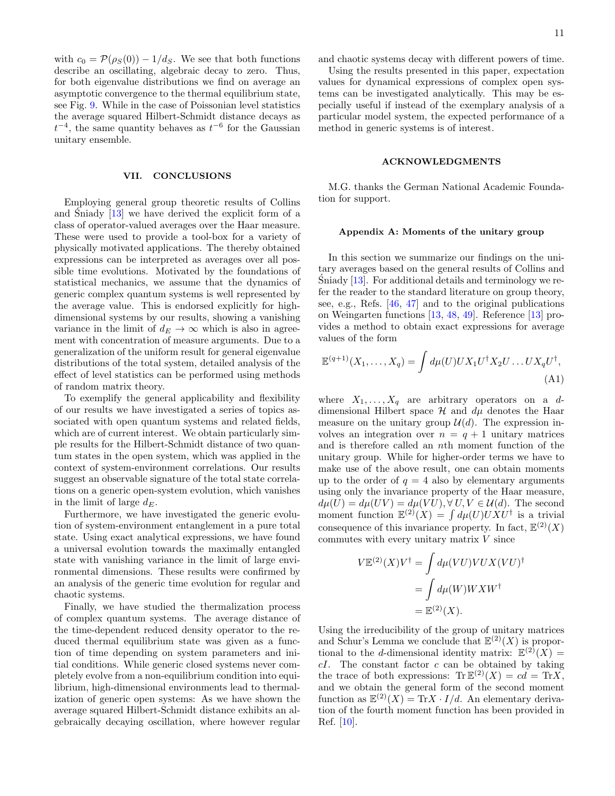with  $c_0 = \mathcal{P}(\rho_S(0)) - 1/d_S$ . We see that both functions describe an oscillating, algebraic decay to zero. Thus, for both eigenvalue distributions we find on average an asymptotic convergence to the thermal equilibrium state, see Fig. [9.](#page-9-1) While in the case of Poissonian level statistics the average squared Hilbert-Schmidt distance decays as  $t^{-4}$ , the same quantity behaves as  $t^{-6}$  for the Gaussian unitary ensemble.

# VII. CONCLUSIONS

Employing general group theoretic results of Collins and Sniady  $[13]$  $[13]$  we have derived the explicit form of a class of operator-valued averages over the Haar measure. These were used to provide a tool-box for a variety of physically motivated applications. The thereby obtained expressions can be interpreted as averages over all possible time evolutions. Motivated by the foundations of statistical mechanics, we assume that the dynamics of generic complex quantum systems is well represented by the average value. This is endorsed explicitly for highdimensional systems by our results, showing a vanishing variance in the limit of  $d_E \to \infty$  which is also in agreement with concentration of measure arguments. Due to a generalization of the uniform result for general eigenvalue distributions of the total system, detailed analysis of the effect of level statistics can be performed using methods of random matrix theory.

To exemplify the general applicability and flexibility of our results we have investigated a series of topics associated with open quantum systems and related fields, which are of current interest. We obtain particularly simple results for the Hilbert-Schmidt distance of two quantum states in the open system, which was applied in the context of system-environment correlations. Our results suggest an observable signature of the total state correlations on a generic open-system evolution, which vanishes in the limit of large  $d_E$ .

Furthermore, we have investigated the generic evolution of system-environment entanglement in a pure total state. Using exact analytical expressions, we have found a universal evolution towards the maximally entangled state with vanishing variance in the limit of large environmental dimensions. These results were confirmed by an analysis of the generic time evolution for regular and chaotic systems.

Finally, we have studied the thermalization process of complex quantum systems. The average distance of the time-dependent reduced density operator to the reduced thermal equilibrium state was given as a function of time depending on system parameters and initial conditions. While generic closed systems never completely evolve from a non-equilibrium condition into equilibrium, high-dimensional environments lead to thermalization of generic open systems: As we have shown the average squared Hilbert-Schmidt distance exhibits an algebraically decaying oscillation, where however regular

and chaotic systems decay with different powers of time.

Using the results presented in this paper, expectation values for dynamical expressions of complex open systems can be investigated analytically. This may be especially useful if instead of the exemplary analysis of a particular model system, the expected performance of a method in generic systems is of interest.

### ACKNOWLEDGMENTS

M.G. thanks the German National Academic Foundation for support.

#### Appendix A: Moments of the unitary group

In this section we summarize our findings on the unitary averages based on the general results of Collins and Sniady  $[13]$  $[13]$ . For additional details and terminology we refer the reader to the standard literature on group theory, see, e.g., Refs. [\[46,](#page-14-33) [47\]](#page-14-34) and to the original publications on Weingarten functions [\[13,](#page-14-5) [48,](#page-14-35) [49\]](#page-14-36). Reference [\[13\]](#page-14-5) provides a method to obtain exact expressions for average values of the form

$$
\mathbb{E}^{(q+1)}(X_1,\ldots,X_q) = \int d\mu(U) U X_1 U^{\dagger} X_2 U \ldots U X_q U^{\dagger},
$$
\n(A1)

where  $X_1, \ldots, X_q$  are arbitrary operators on a ddimensional Hilbert space  $\mathcal H$  and  $d\mu$  denotes the Haar measure on the unitary group  $\mathcal{U}(d)$ . The expression involves an integration over  $n = q + 1$  unitary matrices and is therefore called an nth moment function of the unitary group. While for higher-order terms we have to make use of the above result, one can obtain moments up to the order of  $q = 4$  also by elementary arguments using only the invariance property of the Haar measure,  $d\mu(U) = d\mu(UV) = d\mu(VU), \forall U, V \in \mathcal{U}(d)$ . The second moment function  $\mathbb{E}^{(2)}(X) = \int d\mu(U) U X U^{\dagger}$  is a trivial consequence of this invariance property. In fact,  $\mathbb{E}^{(2)}(X)$ commutes with every unitary matrix  $V$  since

$$
V \mathbb{E}^{(2)}(X) V^{\dagger} = \int d\mu (VU) VU X (VU)^{\dagger}
$$

$$
= \int d\mu (W) W X W^{\dagger}
$$

$$
= \mathbb{E}^{(2)}(X).
$$

Using the irreducibility of the group of unitary matrices and Schur's Lemma we conclude that  $\mathbb{E}^{(2)}(X)$  is proportional to the *d*-dimensional identity matrix:  $\mathbb{E}^{(2)}(X) =$  $cI$ . The constant factor  $c$  can be obtained by taking the trace of both expressions:  $\text{Tr }\mathbb{E}^{(2)}(X) = cd = \text{Tr}X,$ and we obtain the general form of the second moment function as  $\mathbb{E}^{(2)}(X) = \text{Tr}X \cdot I/d$ . An elementary derivation of the fourth moment function has been provided in Ref. [\[10\]](#page-14-7).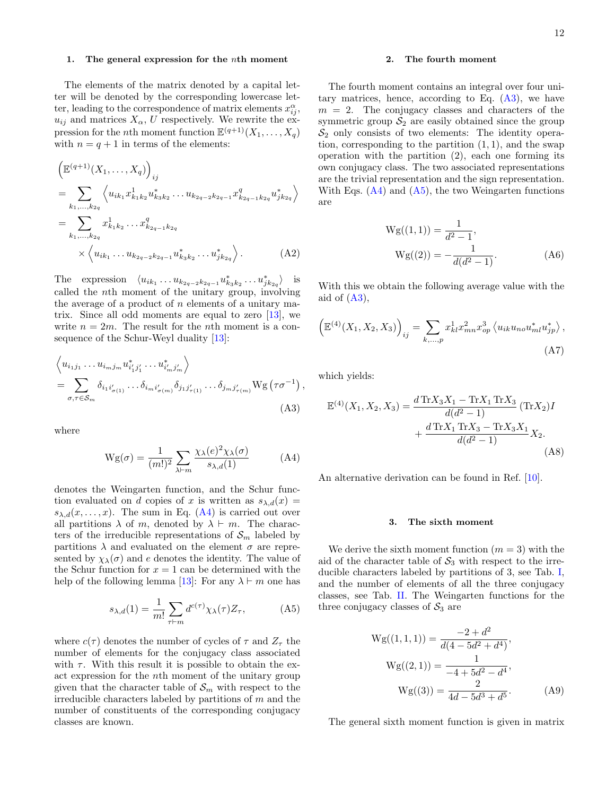The elements of the matrix denoted by a capital letter will be denoted by the corresponding lowercase letter, leading to the correspondence of matrix elements  $x_{ij}^{\alpha}$ ,  $u_{ij}$  and matrices  $X_{\alpha}$ , U respectively. We rewrite the expression for the *n*th moment function  $\mathbb{E}^{(q+1)}(X_1,\ldots,X_q)$ with  $n = q + 1$  in terms of the elements:

$$
\left(\mathbb{E}^{(q+1)}(X_1,\ldots,X_q)\right)_{ij}
$$
\n
$$
= \sum_{k_1,\ldots,k_{2q}} \left\langle u_{ik_1} x_{k_1k_2}^1 u_{k_3k_2}^* \ldots u_{k_{2q-2}k_{2q-1}} x_{k_{2q-1}k_{2q}}^q u_{jk_{2q}}^* \right\rangle
$$
\n
$$
= \sum_{k_1,\ldots,k_{2q}} x_{k_1k_2}^1 \ldots x_{k_{2q-1}k_{2q}}^q
$$
\n
$$
\times \left\langle u_{ik_1} \ldots u_{k_{2q-2}k_{2q-1}} u_{ik_3k_2}^* \ldots u_{jk_{2q}}^* \right\rangle. \tag{A2}
$$

The expression  $\langle u_{ik_1} \dots u_{k_{2q-2}k_{2q-1}} u_{k_3k_2}^* \dots u_{jk_{2q}}^* \rangle$  is called the nth moment of the unitary group, involving the average of a product of  $n$  elements of a unitary matrix. Since all odd moments are equal to zero  $[13]$ , we write  $n = 2m$ . The result for the *n*th moment is a consequence of the Schur-Weyl duality [\[13\]](#page-14-5):

$$
\left\langle u_{i_1 j_1} \dots u_{i_m j_m} u_{i'_1 j'_1}^* \dots u_{i'_m j'_m}^* \right\rangle
$$
  
= 
$$
\sum_{\sigma, \tau \in S_m} \delta_{i_1 i'_{\sigma(1)}} \dots \delta_{i_m i'_{\sigma(m)}} \delta_{j_1 j'_{\tau(1)}} \dots \delta_{j_m j'_{\tau(m)}} W g \left( \tau \sigma^{-1} \right),
$$
  
(A3)

where

$$
Wg(\sigma) = \frac{1}{(m!)^2} \sum_{\lambda \vdash m} \frac{\chi_{\lambda}(e)^2 \chi_{\lambda}(\sigma)}{s_{\lambda,d}(1)} \tag{A4}
$$

denotes the Weingarten function, and the Schur function evaluated on d copies of x is written as  $s_{\lambda,d}(x) =$  $s_{\lambda,d}(x,\ldots,x)$ . The sum in Eq. [\(A4\)](#page-11-2) is carried out over all partitions  $\lambda$  of m, denoted by  $\lambda \vdash m$ . The characters of the irreducible representations of  $\mathcal{S}_m$  labeled by partitions  $\lambda$  and evaluated on the element  $\sigma$  are represented by  $\chi_{\lambda}(\sigma)$  and e denotes the identity. The value of the Schur function for  $x = 1$  can be determined with the help of the following lemma [\[13\]](#page-14-5): For any  $\lambda \vdash m$  one has

$$
s_{\lambda,d}(1) = \frac{1}{m!} \sum_{\tau \vdash m} d^{c(\tau)} \chi_{\lambda}(\tau) Z_{\tau}, \tag{A5}
$$

where  $c(\tau)$  denotes the number of cycles of  $\tau$  and  $Z_{\tau}$  the number of elements for the conjugacy class associated with  $\tau$ . With this result it is possible to obtain the exact expression for the nth moment of the unitary group given that the character table of  $\mathcal{S}_m$  with respect to the irreducible characters labeled by partitions of  $m$  and the number of constituents of the corresponding conjugacy classes are known.

# 2. The fourth moment

The fourth moment contains an integral over four unitary matrices, hence, according to Eq.  $(A3)$ , we have  $m = 2$ . The conjugacy classes and characters of the symmetric group  $S_2$  are easily obtained since the group  $S_2$  only consists of two elements: The identity operation, corresponding to the partition  $(1, 1)$ , and the swap operation with the partition (2), each one forming its own conjugacy class. The two associated representations are the trivial representation and the sign representation. With Eqs.  $(A4)$  and  $(A5)$ , the two Weingarten functions are

$$
Wg((1,1)) = \frac{1}{d^2 - 1},
$$
  
\n
$$
Wg((2)) = -\frac{1}{d(d^2 - 1)}.
$$
\n(A6)

With this we obtain the following average value with the aid of  $(A3)$ ,

$$
\left(\mathbb{E}^{(4)}(X_1, X_2, X_3)\right)_{ij} = \sum_{k,...,p} x_{kl}^1 x_{mn}^2 x_{op}^3 \left\langle u_{ik} u_{no} u_{ml}^* u_{jp}^* \right\rangle,
$$
\n(A7)

which yields:

<span id="page-11-3"></span>
$$
\mathbb{E}^{(4)}(X_1, X_2, X_3) = \frac{d \operatorname{Tr} X_3 X_1 - \operatorname{Tr} X_1 \operatorname{Tr} X_3}{d(d^2 - 1)} (\operatorname{Tr} X_2) I
$$

$$
+ \frac{d \operatorname{Tr} X_1 \operatorname{Tr} X_3 - \operatorname{Tr} X_3 X_1}{d(d^2 - 1)} X_2.
$$
(A8)

<span id="page-11-2"></span>An alternative derivation can be found in Ref. [\[10\]](#page-14-7).

### <span id="page-11-1"></span><span id="page-11-0"></span>3. The sixth moment

<span id="page-11-4"></span>We derive the sixth moment function  $(m = 3)$  with the aid of the character table of  $S_3$  with respect to the irreducible characters labeled by partitions of 3, see Tab. [I,](#page-12-2) and the number of elements of all the three conjugacy classes, see Tab. [II.](#page-12-3) The Weingarten functions for the three conjugacy classes of  $S_3$  are

$$
Wg((1,1,1)) = \frac{-2 + d^2}{d(4 - 5d^2 + d^4)},
$$
  
\n
$$
Wg((2,1)) = \frac{1}{-4 + 5d^2 - d^4},
$$
  
\n
$$
Wg((3)) = \frac{2}{4d - 5d^3 + d^5}.
$$
 (A9)

The general sixth moment function is given in matrix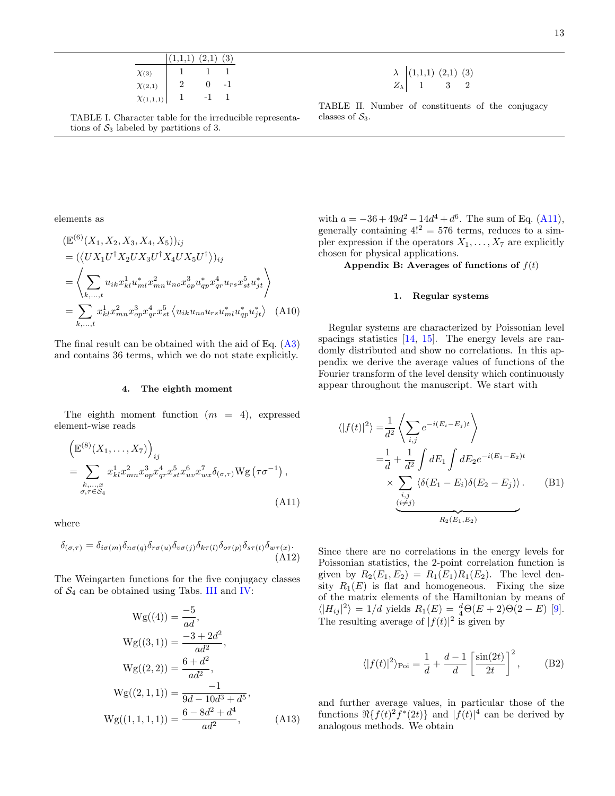|                  | $(1.1,1)$ $(2,1)$ |              | 3) |
|------------------|-------------------|--------------|----|
| $\chi_{(3)}$     |                   |              |    |
| $\chi_{(2,1)}$   | 2                 | $\mathbf{0}$ |    |
| $\chi_{(1,1,1)}$ |                   |              |    |

<span id="page-12-2"></span>TABLE I. Character table for the irreducible representations of  $S_3$  labeled by partitions of 3.

<span id="page-12-3"></span> $\lambda$  (1,1,1) (2,1) (3)  $Z_{\lambda}$  1 3 2

TABLE II. Number of constituents of the conjugacy classes of  $S_3$ .

elements as

$$
\begin{split} &\left(\mathbb{E}^{(6)}(X_1, X_2, X_3, X_4, X_5)\right)_{ij} \\ &= (\langle U X_1 U^{\dagger} X_2 U X_3 U^{\dagger} X_4 U X_5 U^{\dagger} \rangle)_{ij} \\ &= \left\langle \sum_{k,\ldots,t} u_{ik} x_{kl}^1 u_{ml}^* x_{mn}^2 u_{no} x_{op}^3 u_{qp}^* x_{qr}^4 u_{rs} x_{st}^5 u_{jt}^* \right\rangle \\ &= \sum_{k,\ldots,t} x_{kl}^1 x_{mn}^2 x_{op}^3 x_{qr}^4 x_{st}^5 \left\langle u_{ik} u_{no} u_{rs} u_{ml}^* u_{qp}^* u_{jt}^* \right\rangle \end{split} \tag{A10}
$$

The final result can be obtained with the aid of Eq. [\(A3\)](#page-11-3) and contains 36 terms, which we do not state explicitly.

#### 4. The eighth moment

The eighth moment function  $(m = 4)$ , expressed element-wise reads

$$
\left(\mathbb{E}^{(8)}(X_1,\ldots,X_7)\right)_{ij}
$$
\n
$$
=\sum_{\substack{k,\ldots,x\\ \sigma,\tau\in\mathcal{S}_4}} x_{kl}^1 x_{mn}^2 x_{op}^3 x_{qr}^4 x_{st}^5 x_{uv}^6 x_{wx}^7 \delta_{(\sigma,\tau)} Wg\left(\tau\sigma^{-1}\right),\tag{A11}
$$

where

$$
\delta_{(\sigma,\tau)} = \delta_{i\sigma(m)} \delta_{n\sigma(q)} \delta_{r\sigma(u)} \delta_{v\sigma(j)} \delta_{k\tau(l)} \delta_{\sigma(r(p)} \delta_{s\tau(t)} \delta_{w\tau(x)}.
$$
\n(A12)

The Weingarten functions for the five conjugacy classes of  $S_4$  can be obtained using Tabs. [III](#page-13-2) and [IV:](#page-13-3)

$$
Wg((4)) = \frac{-5}{ad},
$$
  
\n
$$
Wg((3, 1)) = \frac{-3 + 2d^2}{ad^2},
$$
  
\n
$$
Wg((2, 2)) = \frac{6 + d^2}{ad^2},
$$
  
\n
$$
Wg((2, 1, 1)) = \frac{-1}{9d - 10d^3 + d^5},
$$
  
\n
$$
Wg((1, 1, 1, 1)) = \frac{6 - 8d^2 + d^4}{ad^2},
$$
 (A13)

with  $a = -36 + 49d^2 - 14d^4 + d^6$ . The sum of Eq. [\(A11\)](#page-12-0), generally containing  $4!^2 = 576$  terms, reduces to a simpler expression if the operators  $X_1, \ldots, X_7$  are explicitly chosen for physical applications.

<span id="page-12-1"></span>Appendix B: Averages of functions of  $f(t)$ 

# 1. Regular systems

Regular systems are characterized by Poissonian level spacings statistics [\[14,](#page-14-8) [15\]](#page-14-9). The energy levels are randomly distributed and show no correlations. In this appendix we derive the average values of functions of the Fourier transform of the level density which continuously appear throughout the manuscript. We start with

<span id="page-12-4"></span>
$$
\langle |f(t)|^2 \rangle = \frac{1}{d^2} \left\langle \sum_{i,j} e^{-i(E_i - E_j)t} \right\rangle
$$
  
=  $\frac{1}{d} + \frac{1}{d^2} \int dE_1 \int dE_2 e^{-i(E_1 - E_2)t}$   
 $\times \sum_{\substack{i,j \\ (i \neq j)}} \langle \delta(E_1 - E_i) \delta(E_2 - E_j) \rangle$ . (B1)

<span id="page-12-0"></span>Since there are no correlations in the energy levels for Poissonian statistics, the 2-point correlation function is given by  $R_2(E_1, E_2) = R_1(E_1)R_1(E_2)$ . The level density  $R_1(E)$  is flat and homogeneous. Fixing the size of the matrix elements of the Hamiltonian by means of  $\langle |H_{ij}|^2 \rangle = 1/d$  yields  $R_1(E) = \frac{d}{4}\Theta(E+2)\Theta(2-E)$  [\[9\]](#page-14-6). The resulting average of  $|f(t)|^2$  is given by

$$
\langle |f(t)|^2 \rangle_{\text{Poi}} = \frac{1}{d} + \frac{d-1}{d} \left[ \frac{\sin(2t)}{2t} \right]^2, \quad \text{(B2)}
$$

and further average values, in particular those of the functions  $\Re\{f(t)^2 f^*(2t)\}\$  and  $|f(t)|^4$  can be derived by analogous methods. We obtain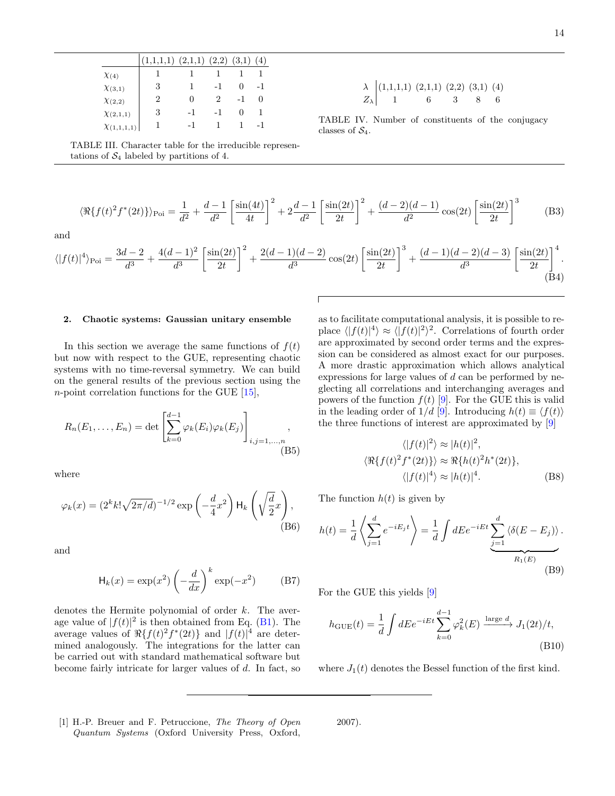|                    | $(1,1,1,1)$ $(2,1,1)$ $(2,2)$ $(3,1)$ $(4)$ |     |     |     |
|--------------------|---------------------------------------------|-----|-----|-----|
| $\chi$ (4)         |                                             |     |     |     |
| $\chi_{(3,1)}$     | 3                                           |     | -1  | -1  |
| $\chi_{(2,2)}$     | 2                                           |     | 2   |     |
| $\chi_{(2,1,1)}$   | 3                                           | -1  | - 1 |     |
| $\chi_{(1,1,1,1)}$ |                                             | - 1 |     | - 1 |

<span id="page-13-2"></span>TABLE III. Character table for the irreducible representations of  $S_4$  labeled by partitions of 4.

$$
\langle \Re\{f(t)^2 f^*(2t)\}\rangle_{\text{Poi}} = \frac{1}{d^2} + \frac{d-1}{d^2} \left[\frac{\sin(4t)}{4t}\right]^2 + 2\frac{d-1}{d^2} \left[\frac{\sin(2t)}{2t}\right]^2 + \frac{(d-2)(d-1)}{d^2}\cos(2t) \left[\frac{\sin(2t)}{2t}\right]^3 \tag{B3}
$$

and

$$
\langle |f(t)|^4 \rangle_{\text{Poi}} = \frac{3d-2}{d^3} + \frac{4(d-1)^2}{d^3} \left[ \frac{\sin(2t)}{2t} \right]^2 + \frac{2(d-1)(d-2)}{d^3} \cos(2t) \left[ \frac{\sin(2t)}{2t} \right]^3 + \frac{(d-1)(d-2)(d-3)}{d^3} \left[ \frac{\sin(2t)}{2t} \right]^4.
$$
\n(B4)

### <span id="page-13-1"></span>2. Chaotic systems: Gaussian unitary ensemble

In this section we average the same functions of  $f(t)$ but now with respect to the GUE, representing chaotic systems with no time-reversal symmetry. We can build on the general results of the previous section using the *n*-point correlation functions for the GUE  $[15]$ ,

$$
R_n(E_1, ..., E_n) = \det \left[ \sum_{k=0}^{d-1} \varphi_k(E_i) \varphi_k(E_j) \right]_{i,j=1,...,n} ,
$$
\n(B5)

where

$$
\varphi_k(x) = (2^k k! \sqrt{2\pi/d})^{-1/2} \exp\left(-\frac{d}{4}x^2\right) \mathsf{H}_k\left(\sqrt{\frac{d}{2}}x\right),\tag{B6}
$$

and

$$
H_k(x) = \exp(x^2) \left(-\frac{d}{dx}\right)^k \exp(-x^2)
$$
 (B7)

denotes the Hermite polynomial of order k. The average value of  $|f(t)|^2$  is then obtained from Eq. [\(B1\)](#page-12-4). The average values of  $\Re\{f(t)^2 f^*(2t)\}\$  and  $|f(t)|^4$  are determined analogously. The integrations for the latter can be carried out with standard mathematical software but become fairly intricate for larger values of  $d$ . In fact, so as to facilitate computational analysis, it is possible to replace  $\langle |f(t)|^4 \rangle \approx \langle |f(t)|^2 \rangle^2$ . Correlations of fourth order are approximated by second order terms and the expression can be considered as almost exact for our purposes. A more drastic approximation which allows analytical expressions for large values of d can be performed by neglecting all correlations and interchanging averages and powers of the function  $f(t)$  [\[9\]](#page-14-6). For the GUE this is valid in the leading order of  $1/d$  [\[9\]](#page-14-6). Introducing  $h(t) \equiv \langle f(t) \rangle$ the three functions of interest are approximated by [\[9\]](#page-14-6)

$$
\langle |f(t)|^2 \rangle \approx |h(t)|^2,
$$
  

$$
\langle \Re\{f(t)^2 f^*(2t)\} \rangle \approx \Re\{h(t)^2 h^*(2t)\},
$$
  

$$
\langle |f(t)|^4 \rangle \approx |h(t)|^4.
$$
 (B8)

The function  $h(t)$  is given by

$$
h(t) = \frac{1}{d} \left\langle \sum_{j=1}^{d} e^{-iE_j t} \right\rangle = \frac{1}{d} \int dE e^{-iEt} \underbrace{\sum_{j=1}^{d} \left\langle \delta(E - E_j) \right\rangle}_{R_1(E)}.
$$
\n(B9)

For the GUE this yields [\[9\]](#page-14-6)

$$
h_{\text{GUE}}(t) = \frac{1}{d} \int dE e^{-iEt} \sum_{k=0}^{d-1} \varphi_k^2(E) \xrightarrow{\text{large } d} J_1(2t)/t,
$$
\n(B10)

where  $J_1(t)$  denotes the Bessel function of the first kind.

<span id="page-13-0"></span>[1] H.-P. Breuer and F. Petruccione, The Theory of Open Quantum Systems (Oxford University Press, Oxford,

2007).

<span id="page-13-3"></span> $\lambda$   $(1,1,1,1)$   $(2,1,1)$   $(2,2)$   $(3,1)$   $(4)$  $Z_{\lambda}$  1 6 3 8 6

TABLE IV. Number of constituents of the conjugacy classes of  $S_4$ .